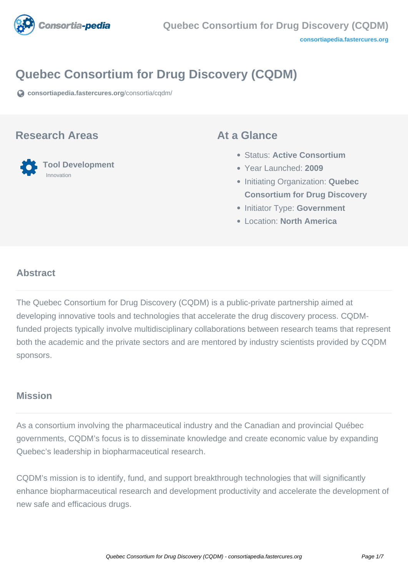<span id="page-0-0"></span>

# **Quebec Consortium for Drug Discovery (CQDM)**

**[consortiapedia.fastercures.org](https://consortiapedia.fastercures.org/consortia/cqdm/)**[/consortia/cqdm/](https://consortiapedia.fastercures.org/consortia/cqdm/)

#### **Research Areas**



#### **At a Glance**

- Status: **Active Consortium**
- Year Launched: **2009**
- **Initiating Organization: Quebec Consortium for Drug Discovery**
- **Initiator Type: Government**
- Location: **North America**

#### $\overline{a}$ **Abstract**

The Quebec Consortium for Drug Discovery (CQDM) is a public-private partnership aimed at developing innovative tools and technologies that accelerate the drug discovery process. CQDMfunded projects typically involve multidisciplinary collaborations between research teams that represent both the academic and the private sectors and are mentored by industry scientists provided by CQDM sponsors.

### **Mission**

As a consortium involving the pharmaceutical industry and the Canadian and provincial Québec governments, CQDM's focus is to disseminate knowledge and create economic value by expanding Quebec's leadership in biopharmaceutical research.

CQDM's mission is to identify, fund, and support breakthrough technologies that will significantly enhance biopharmaceutical research and development productivity and accelerate the development of new safe and efficacious drugs.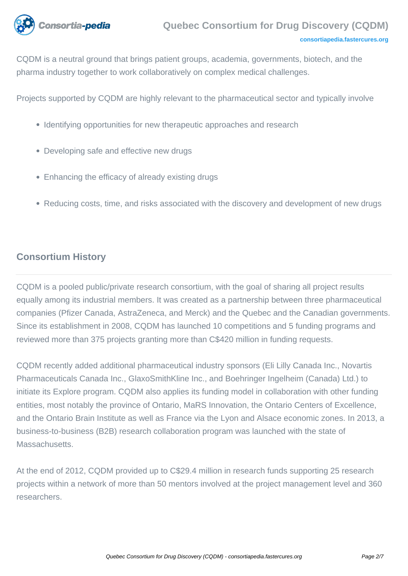

CQDM is a neutral ground that brings patient groups, academia, governments, biotech, and the pharma industry together to work collaboratively on complex medical challenges.

Projects supported by CQDM are highly relevant to the pharmaceutical sector and typically involve

- Identifying opportunities for new therapeutic approaches and research
- Developing safe and effective new drugs
- Enhancing the efficacy of already existing drugs
- Reducing costs, time, and risks associated with the discovery and development of new drugs

# **Consortium History**

CQDM is a pooled public/private research consortium, with the goal of sharing all project results equally among its industrial members. It was created as a partnership between three pharmaceutical companies (Pfizer Canada, AstraZeneca, and Merck) and the Quebec and the Canadian governments. Since its establishment in 2008, CQDM has launched 10 competitions and 5 funding programs and reviewed more than 375 projects granting more than C\$420 million in funding requests.

CQDM recently added additional pharmaceutical industry sponsors (Eli Lilly Canada Inc., Novartis Pharmaceuticals Canada Inc., GlaxoSmithKline Inc., and Boehringer Ingelheim (Canada) Ltd.) to initiate its Explore program. CQDM also applies its funding model in collaboration with other funding entities, most notably the province of Ontario, MaRS Innovation, the Ontario Centers of Excellence, and the Ontario Brain Institute as well as France via the Lyon and Alsace economic zones. In 2013, a business-to-business (B2B) research collaboration program was launched with the state of Massachusetts.

At the end of 2012, CQDM provided up to C\$29.4 million in research funds supporting 25 research projects within a network of more than 50 mentors involved at the project management level and 360 researchers.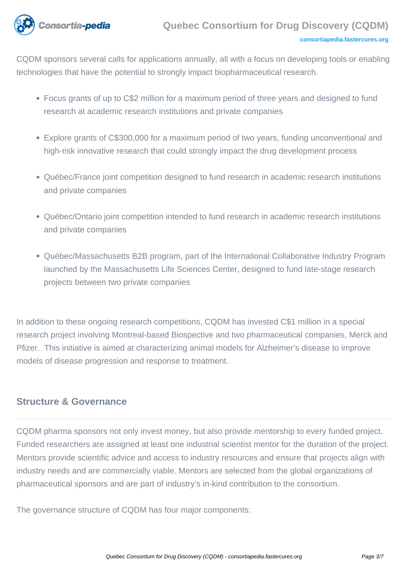

CQDM sponsors several calls for applications annually, all with a focus on developing tools or enabling technologies that have the potential to strongly impact biopharmaceutical research.

- Focus grants of up to C\$2 million for a maximum period of three years and designed to fund research at academic research institutions and private companies
- Explore grants of C\$300,000 for a maximum period of two years, funding unconventional and high-risk innovative research that could strongly impact the drug development process
- Québec/France joint competition designed to fund research in academic research institutions and private companies
- Québec/Ontario joint competition intended to fund research in academic research institutions and private companies
- Québec/Massachusetts B2B program, part of the International Collaborative Industry Program launched by the Massachusetts Life Sciences Center, designed to fund late-stage research projects between two private companies

In addition to these ongoing research competitions, CQDM has invested C\$1 million in a special research project involving Montreal-based Biospective and two pharmaceutical companies, Merck and Pfizer. This initiative is aimed at characterizing animal models for Alzheimer's disease to improve models of disease progression and response to treatment.

## **Structure & Governance**

CQDM pharma sponsors not only invest money, but also provide mentorship to every funded project. Funded researchers are assigned at least one industrial scientist mentor for the duration of the project. Mentors provide scientific advice and access to industry resources and ensure that projects align with industry needs and are commercially viable. Mentors are selected from the global organizations of pharmaceutical sponsors and are part of industry's in-kind contribution to the consortium.

The governance structure of CQDM has four major components: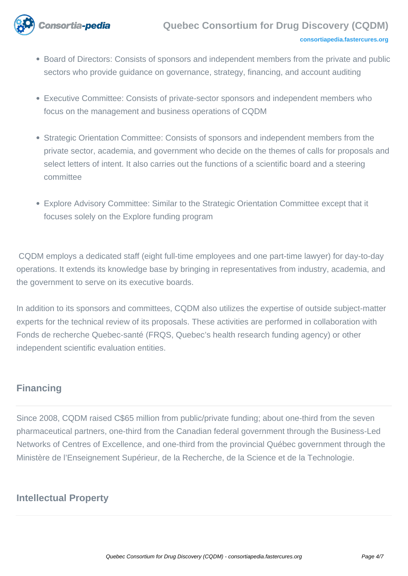

- Board of Directors: Consists of sponsors and independent members from the private and public sectors who provide guidance on governance, strategy, financing, and account auditing
- Executive Committee: Consists of private-sector sponsors and independent members who focus on the management and business operations of CQDM
- Strategic Orientation Committee: Consists of sponsors and independent members from the private sector, academia, and government who decide on the themes of calls for proposals and select letters of intent. It also carries out the functions of a scientific board and a steering committee
- Explore Advisory Committee: Similar to the Strategic Orientation Committee except that it focuses solely on the Explore funding program

 CQDM employs a dedicated staff (eight full-time employees and one part-time lawyer) for day-to-day operations. It extends its knowledge base by bringing in representatives from industry, academia, and the government to serve on its executive boards.

In addition to its sponsors and committees, CQDM also utilizes the expertise of outside subject-matter experts for the technical review of its proposals. These activities are performed in collaboration with Fonds de recherche Quebec-santé (FRQS, Quebec's health research funding agency) or other independent scientific evaluation entities.

# **Financing**

Since 2008, CQDM raised C\$65 million from public/private funding; about one-third from the seven pharmaceutical partners, one-third from the Canadian federal government through the Business-Led Networks of Centres of Excellence, and one-third from the provincial Québec government through the Ministère de l'Enseignement Supérieur, de la Recherche, de la Science et de la Technologie.

# **Intellectual Property**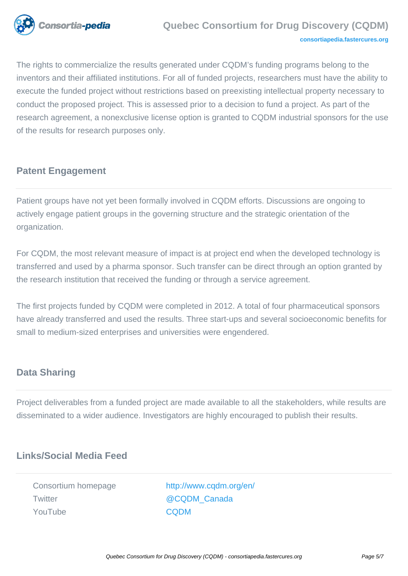

The rights to commercialize the results generated under CQDM's funding programs belong to the inventors and their affiliated institutions. For all of funded projects, researchers must have the ability to execute the funded project without restrictions based on preexisting intellectual property necessary to conduct the proposed project. This is assessed prior to a decision to fund a project. As part of the research agreement, a nonexclusive license option is granted to CQDM industrial sponsors for the use of the results for research purposes only.

# **Patent Engagement**

Patient groups have not yet been formally involved in CQDM efforts. Discussions are ongoing to actively engage patient groups in the governing structure and the strategic orientation of the organization.

For CQDM, the most relevant measure of impact is at project end when the developed technology is transferred and used by a pharma sponsor. Such transfer can be direct through an option granted by the research institution that received the funding or through a service agreement.

The first projects funded by CQDM were completed in 2012. A total of four pharmaceutical sponsors have already transferred and used the results. Three start-ups and several socioeconomic benefits for small to medium-sized enterprises and universities were engendered.

### **Data Sharing**

Project deliverables from a funded project are made available to all the stakeholders, while results are disseminated to a wider audience. Investigators are highly encouraged to publish their results.

# **Links/Social Media Feed**

Twitter **COLOM** Canada YouTube [CQDM](https://www.youtube.com/channel/UCZFCGA9iTYNTiiHl56jfqdg)

Consortium homepage [http://www.cqdm.org/en/](#page-0-0)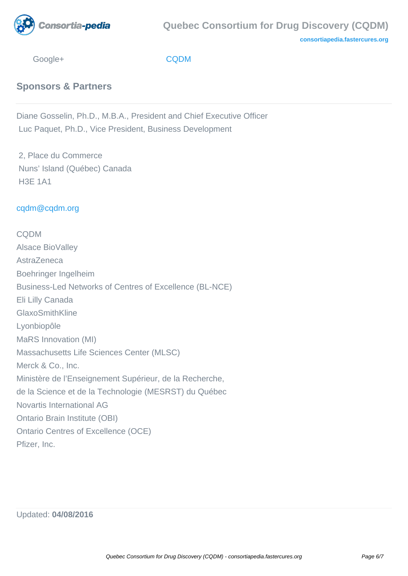

**[consortiapedia.fastercures.org](http://consortiapedia.fastercures.org/)**

Google+ [CQDM](https://plus.google.com/102029871844852229079/videos)

**Sponsors & Partners**

Diane Gosselin, Ph.D., M.B.A., President and Chief Executive Officer Luc Paquet, Ph.D., Vice President, Business Development

 2, Place du Commerce Nuns' Island (Québec) Canada H3E 1A1

#### [cqdm@cqdm.org](mailto:cqdm@cqdm.org)

**CODM** Alsace BioValley **AstraZeneca** Boehringer Ingelheim Business-Led Networks of Centres of Excellence (BL-NCE) Eli Lilly Canada GlaxoSmithKline Lyonbiopôle MaRS Innovation (MI) Massachusetts Life Sciences Center (MLSC) Merck & Co., Inc. Ministère de l'Enseignement Supérieur, de la Recherche, de la Science et de la Technologie (MESRST) du Québec Novartis International AG Ontario Brain Institute (OBI) Ontario Centres of Excellence (OCE) Pfizer, Inc.

Updated: **04/08/2016**